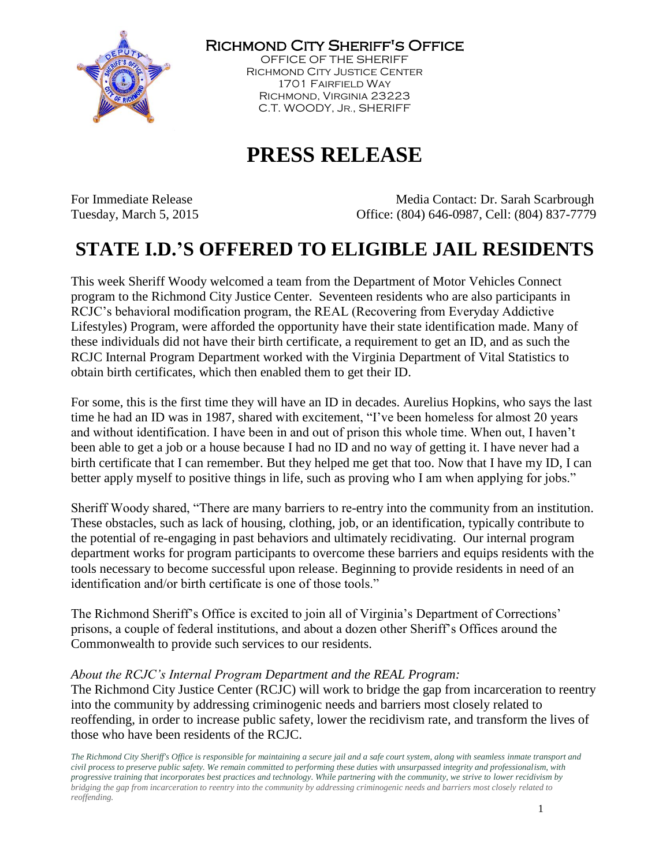

Richmond City Sheriff's Office

OFFICE OF THE SHERIFF Richmond City Justice Center 1701 Fairfield Way Richmond, Virginia 23223 C.T. WOODY, JR., SHERIFF

## **PRESS RELEASE**

For Immediate Release The Media Contact: Dr. Sarah Scarbrough Tuesday, March 5, 2015 Office: (804) 646-0987, Cell: (804) 837-7779

## **STATE I.D.'S OFFERED TO ELIGIBLE JAIL RESIDENTS**

This week Sheriff Woody welcomed a team from the Department of Motor Vehicles Connect program to the Richmond City Justice Center. Seventeen residents who are also participants in RCJC's behavioral modification program, the REAL (Recovering from Everyday Addictive Lifestyles) Program, were afforded the opportunity have their state identification made. Many of these individuals did not have their birth certificate, a requirement to get an ID, and as such the RCJC Internal Program Department worked with the Virginia Department of Vital Statistics to obtain birth certificates, which then enabled them to get their ID.

For some, this is the first time they will have an ID in decades. Aurelius Hopkins, who says the last time he had an ID was in 1987, shared with excitement, "I've been homeless for almost 20 years and without identification. I have been in and out of prison this whole time. When out, I haven't been able to get a job or a house because I had no ID and no way of getting it. I have never had a birth certificate that I can remember. But they helped me get that too. Now that I have my ID, I can better apply myself to positive things in life, such as proving who I am when applying for jobs."

Sheriff Woody shared, "There are many barriers to re-entry into the community from an institution. These obstacles, such as lack of housing, clothing, job, or an identification, typically contribute to the potential of re-engaging in past behaviors and ultimately recidivating. Our internal program department works for program participants to overcome these barriers and equips residents with the tools necessary to become successful upon release. Beginning to provide residents in need of an identification and/or birth certificate is one of those tools."

The Richmond Sheriff's Office is excited to join all of Virginia's Department of Corrections' prisons, a couple of federal institutions, and about a dozen other Sheriff's Offices around the Commonwealth to provide such services to our residents.

## *About the RCJC's Internal Program Department and the REAL Program:*

The Richmond City Justice Center (RCJC) will work to bridge the gap from incarceration to reentry into the community by addressing criminogenic needs and barriers most closely related to reoffending, in order to increase public safety, lower the recidivism rate, and transform the lives of those who have been residents of the RCJC.

*The Richmond City Sheriff's Office is responsible for maintaining a secure jail and a safe court system, along with seamless inmate transport and civil process to preserve public safety. We remain committed to performing these duties with unsurpassed integrity and professionalism, with progressive training that incorporates best practices and technology. While partnering with the community, we strive to lower recidivism by bridging the gap from incarceration to reentry into the community by addressing criminogenic needs and barriers most closely related to reoffending.*